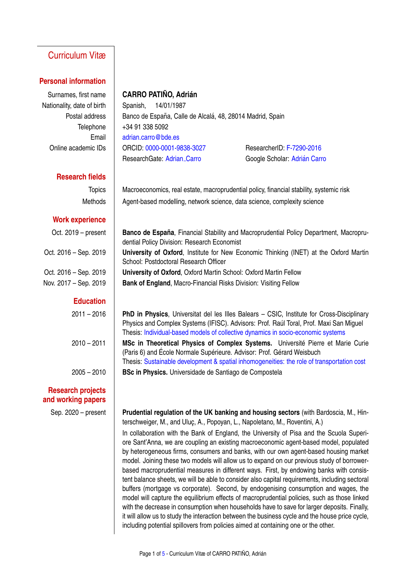# Curriculum Vitæ

#### **Personal information**

Nationality, date of birth | Spanish, 14/01/1987

## **Surnames, first name | CARRO PATIÑO, Adrián**

Postal address  $\parallel$  Banco de España, Calle de Alcalá, 48, 28014 Madrid, Spain Telephone  $|$  +34 91 338 5092 Email [adrian.carro@bde.es](mailto:adrian.carro@bde.es) Online academic IDs ORCID: [0000-0001-9838-3027](http://orcid.org/0000-0001-9838-3027) ResearcherID: [F-7290-2016](http://www.researcherid.com/rid/F-7290-2016) ResearchGate: [Adrian](https://www.researchgate.net/profile/Adrian_Carro) Carro **Google Scholar: Adrián Carro** 

### **Research fields**

#### **Work experience**

#### **Education**

### **Research projects and working papers**

Topics | Macroeconomics, real estate, macroprudential policy, financial stability, systemic risk Methods | Agent-based modelling, network science, data science, complexity science

Oct. 2019 – present **Banco de España**, Financial Stability and Macroprudential Policy Department, Macroprudential Policy Division: Research Economist Oct. 2016 – Sep. 2019 **University of Oxford**, Institute for New Economic Thinking (INET) at the Oxford Martin School: Postdoctoral Research Officer Oct. 2016 – Sep. 2019 **University of Oxford**, Oxford Martin School: Oxford Martin Fellow Nov. 2017 – Sep. 2019 **Bank of England**, Macro-Financial Risks Division: Visiting Fellow

2011 – 2016 **PhD in Physics**, Universitat del les Illes Balears – CSIC, Institute for Cross-Disciplinary Physics and Complex Systems (IFISC). Advisors: Prof. Raúl Toral, Prof. Maxi San Miguel Thesis: [Individual-based models of collective dynamics in socio-economic systems](http://digital.csic.es/bitstream/10261/157458/1/collective_dynamics_Carro.pdf) 2010 – 2011 **MSc in Theoretical Physics of Complex Systems.** Université Pierre et Marie Curie (Paris 6) and École Normale Supérieure. Advisor: Prof. Gérard Weisbuch Thesis: [Sustainable development & spatial inhomogeneities: the role of transportation cost](https://drive.google.com/open?id=0B4qDqv0-WYCKTEV0azg5UUszUmM) 2005 – 2010 **BSc in Physics.** Universidade de Santiago de Compostela

Sep. 2020 – present **Prudential regulation of the UK banking and housing sectors** (with Bardoscia, M., Hinterschweiger, M., and Uluc, A., Popovan, L., Napoletano, M., Roventini, A.) In collaboration with the Bank of England, the University of Pisa and the Scuola Superiore Sant'Anna, we are coupling an existing macroeconomic agent-based model, populated by heterogeneous firms, consumers and banks, with our own agent-based housing market model. Joining these two models will allow us to expand on our previous study of borrowerbased macroprudential measures in different ways. First, by endowing banks with consistent balance sheets, we will be able to consider also capital requirements, including sectoral buffers (mortgage vs corporate). Second, by endogenising consumption and wages, the model will capture the equilibrium effects of macroprudential policies, such as those linked with the decrease in consumption when households have to save for larger deposits. Finally, it will allow us to study the interaction between the business cycle and the house price cycle, including potential spillovers from policies aimed at containing one or the other.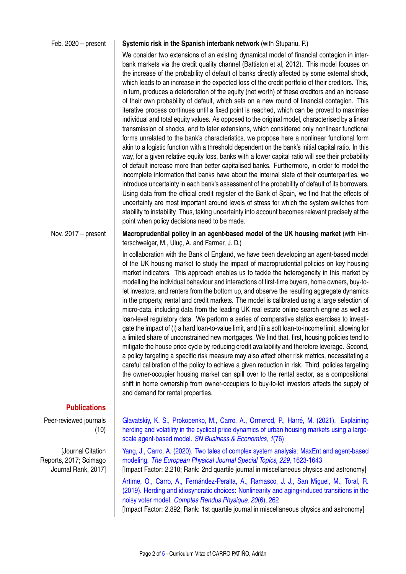#### Feb. 2020 – present **Systemic risk in the Spanish interbank network** (with Stupariu, P.)

We consider two extensions of an existing dynamical model of financial contagion in interbank markets via the credit quality channel (Battiston et al, 2012). This model focuses on the increase of the probability of default of banks directly affected by some external shock, which leads to an increase in the expected loss of the credit portfolio of their creditors. This, in turn, produces a deterioration of the equity (net worth) of these creditors and an increase of their own probability of default, which sets on a new round of financial contagion. This iterative process continues until a fixed point is reached, which can be proved to maximise individual and total equity values. As opposed to the original model, characterised by a linear transmission of shocks, and to later extensions, which considered only nonlinear functional forms unrelated to the bank's characteristics, we propose here a nonlinear functional form akin to a logistic function with a threshold dependent on the bank's initial capital ratio. In this way, for a given relative equity loss, banks with a lower capital ratio will see their probability of default increase more than better capitalised banks. Furthermore, in order to model the incomplete information that banks have about the internal state of their counterparties, we introduce uncertainty in each bank's assessment of the probability of default of its borrowers. Using data from the official credit register of the Bank of Spain, we find that the effects of uncertainty are most important around levels of stress for which the system switches from stability to instability. Thus, taking uncertainty into account becomes relevant precisely at the point when policy decisions need to be made.

Nov. 2017 – present **Macroprudential policy in an agent-based model of the UK housing market** (with Hinterschweiger, M., Uluc, A. and Farmer, J. D.)

> In collaboration with the Bank of England, we have been developing an agent-based model of the UK housing market to study the impact of macroprudential policies on key housing market indicators. This approach enables us to tackle the heterogeneity in this market by modelling the individual behaviour and interactions of first-time buyers, home owners, buy-tolet investors, and renters from the bottom up, and observe the resulting aggregate dynamics in the property, rental and credit markets. The model is calibrated using a large selection of micro-data, including data from the leading UK real estate online search engine as well as loan-level regulatory data. We perform a series of comparative statics exercises to investigate the impact of (i) a hard loan-to-value limit, and (ii) a soft loan-to-income limit, allowing for a limited share of unconstrained new mortgages. We find that, first, housing policies tend to mitigate the house price cycle by reducing credit availability and therefore leverage. Second, a policy targeting a specific risk measure may also affect other risk metrics, necessitating a careful calibration of the policy to achieve a given reduction in risk. Third, policies targeting the owner-occupier housing market can spill over to the rental sector, as a compositional shift in home ownership from owner-occupiers to buy-to-let investors affects the supply of and demand for rental properties.

#### **Publications**

Peer-reviewed journals (10)

[Journal Citation Reports, 2017; Scimago Journal Rank, 2017] Glavatskiy, K. S., Prokopenko, M., Carro, A., Ormerod, P., Harré, M. (2021). Explaining [herding and volatility in the cyclical price dynamics of urban housing markets using a large](https://doi.org/10.1007/s43546-021-00077-2)scale agent-based model. *[SN Business & Economics, 1](https://doi.org/10.1007/s43546-021-00077-2)*(76)

[Yang, J., Carro, A. \(2020\). Two tales of complex system analysis: MaxEnt and agent-based](https://doi.org/10.1140/epjst/e2020-900137-x) modeling. *[The European Physical Journal Special Topics, 229](https://doi.org/10.1140/epjst/e2020-900137-x)*, 1623-1643

[Impact Factor: 2.210; Rank: 2nd quartile journal in miscellaneous physics and astronomy]

Artime, O., Carro, A., Fernández-Peralta, A., Ramasco, J. J., San Miguel, M., Toral, R. [\(2019\). Herding and idiosyncratic choices: Nonlinearity and aging-induced transitions in the](https://doi.org/10.1016/j.crhy.2019.05.003) noisy voter model. *[Comptes Rendus Physique, 20](https://doi.org/10.1016/j.crhy.2019.05.003)*(6), 262

[Impact Factor: 2.892; Rank: 1st quartile journal in miscellaneous physics and astronomy]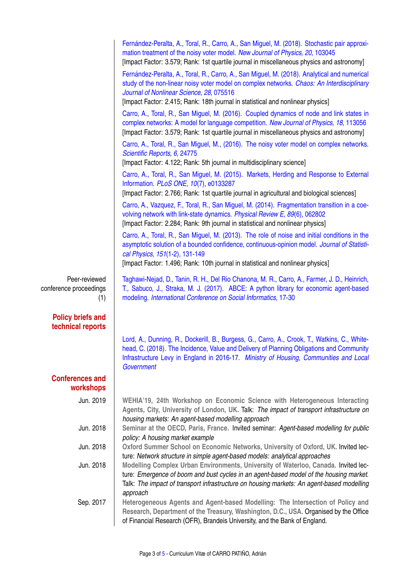|                                                | Fernández-Peralta, A., Toral, R., Carro, A., San Miguel, M. (2018). Stochastic pair approxi-<br>mation treatment of the noisy voter model. New Journal of Physics, 20, 103045<br>[Impact Factor: 3.579; Rank: 1st quartile journal in miscellaneous physics and astronomy]                                                                               |  |  |  |
|------------------------------------------------|----------------------------------------------------------------------------------------------------------------------------------------------------------------------------------------------------------------------------------------------------------------------------------------------------------------------------------------------------------|--|--|--|
|                                                | Fernández-Peralta, A., Toral, R., Carro, A., San Miguel, M. (2018). Analytical and numerical<br>study of the non-linear noisy voter model on complex networks. Chaos: An Interdisciplinary<br>Journal of Nonlinear Science, 28, 075516<br>[Impact Factor: 2.415; Rank: 18th journal in statistical and nonlinear physics]                                |  |  |  |
|                                                | Carro, A., Toral, R., San Miguel, M. (2016). Coupled dynamics of node and link states in<br>complex networks: A model for language competition. New Journal of Physics, 18, 113056<br>[Impact Factor: 3.579; Rank: 1st quartile journal in miscellaneous physics and astronomy]                                                                          |  |  |  |
|                                                | Carro, A., Toral, R., San Miguel, M., (2016). The noisy voter model on complex networks.<br>Scientific Reports, 6, 24775<br>[Impact Factor: 4.122; Rank: 5th journal in multidisciplinary science]                                                                                                                                                       |  |  |  |
|                                                | Carro, A., Toral, R., San Miguel, M. (2015). Markets, Herding and Response to External<br>Information. PLoS ONE, 10(7), e0133287<br>[Impact Factor: 2.766; Rank: 1st quartile journal in agricultural and biological sciences]                                                                                                                           |  |  |  |
|                                                | Carro, A., Vazquez, F., Toral, R., San Miguel, M. (2014). Fragmentation transition in a coe-<br>volving network with link-state dynamics. Physical Review E, 89(6), 062802<br>[Impact Factor: 2.284; Rank: 9th journal in statistical and nonlinear physics]                                                                                             |  |  |  |
|                                                | Carro, A., Toral, R., San Miguel, M. (2013). The role of noise and initial conditions in the<br>asymptotic solution of a bounded confidence, continuous-opinion model. Journal of Statisti-<br>cal Physics, 151(1-2), 131-149<br>[Impact Factor: 1.496; Rank: 10th journal in statistical and nonlinear physics]                                         |  |  |  |
| Peer-reviewed<br>conference proceedings<br>(1) | Taghawi-Nejad, D., Tanin, R. H., Del Rio Chanona, M. R., Carro, A., Farmer, J. D., Heinrich,<br>T., Sabuco, J., Straka, M. J. (2017). ABCE: A python library for economic agent-based<br>modeling. International Conference on Social Informatics, 17-30                                                                                                 |  |  |  |
| <b>Policy briefs and</b><br>technical reports  |                                                                                                                                                                                                                                                                                                                                                          |  |  |  |
|                                                | Lord, A., Dunning, R., Dockerill, B., Burgess, G., Carro, A., Crook, T., Watkins, C., White-<br>head, C. (2018). The Incidence, Value and Delivery of Planning Obligations and Community<br>Infrastructure Levy in England in 2016-17. Ministry of Housing, Communities and Local<br>Government                                                          |  |  |  |
| <b>Conferences and</b><br>workshops            |                                                                                                                                                                                                                                                                                                                                                          |  |  |  |
| Jun. 2019                                      | WEHIA'19, 24th Workshop on Economic Science with Heterogeneous Interacting<br>Agents, City, University of London, UK. Talk: The impact of transport infrastructure on<br>housing markets: An agent-based modelling approach                                                                                                                              |  |  |  |
| Jun. 2018                                      | Seminar at the OECD, Paris, France. Invited seminar: Agent-based modelling for public<br>policy: A housing market example                                                                                                                                                                                                                                |  |  |  |
| Jun. 2018                                      | Oxford Summer School on Economic Networks, University of Oxford, UK. Invited lec-                                                                                                                                                                                                                                                                        |  |  |  |
| Jun. 2018                                      | ture: Network structure in simple agent-based models: analytical approaches<br>Modelling Complex Urban Environments, University of Waterloo, Canada. Invited lec-<br>ture: Emergence of boom and bust cycles in an agent-based model of the housing market.<br>Talk: The impact of transport infrastructure on housing markets: An agent-based modelling |  |  |  |
| Sep. 2017                                      | approach<br>Heterogeneous Agents and Agent-based Modelling: The Intersection of Policy and<br>Research, Department of the Treasury, Washington, D.C., USA. Organised by the Office<br>of Financial Research (OFR), Brandeis University, and the Bank of England.                                                                                         |  |  |  |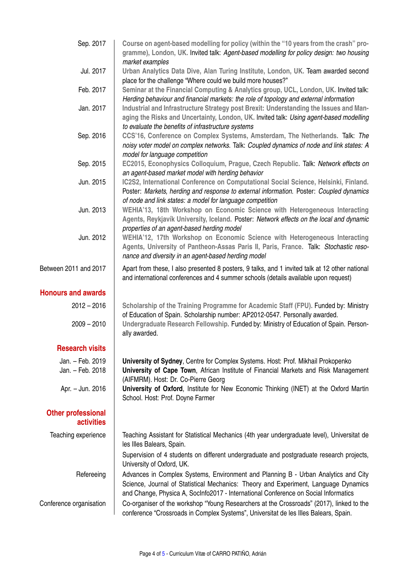| Sep. 2017                                      | Course on agent-based modelling for policy (within the "10 years from the crash" pro-<br>gramme), London, UK. Invited talk: Agent-based modelling for policy design: two housing                                                                                 |  |  |
|------------------------------------------------|------------------------------------------------------------------------------------------------------------------------------------------------------------------------------------------------------------------------------------------------------------------|--|--|
| Jul. 2017                                      | market examples<br>Urban Analytics Data Dive, Alan Turing Institute, London, UK. Team awarded second                                                                                                                                                             |  |  |
|                                                | place for the challenge "Where could we build more houses?"                                                                                                                                                                                                      |  |  |
| Feb. 2017                                      | Seminar at the Financial Computing & Analytics group, UCL, London, UK. Invited talk:<br>Herding behaviour and financial markets: the role of topology and external information                                                                                   |  |  |
| Jan. 2017                                      | Industrial and Infrastructure Strategy post Brexit: Understanding the Issues and Man-<br>aging the Risks and Uncertainty, London, UK. Invited talk: Using agent-based modelling<br>to evaluate the benefits of infrastructure systems                            |  |  |
| Sep. 2016                                      | CCS'16, Conference on Complex Systems, Amsterdam, The Netherlands. Talk: The<br>noisy voter model on complex networks. Talk: Coupled dynamics of node and link states: A<br>model for language competition                                                       |  |  |
| Sep. 2015                                      | EC2015, Econophysics Colloquium, Prague, Czech Republic. Talk: Network effects on<br>an agent-based market model with herding behavior                                                                                                                           |  |  |
| Jun. 2015                                      | IC2S2, International Conference on Computational Social Science, Helsinki, Finland.<br>Poster: Markets, herding and response to external information. Poster: Coupled dynamics<br>of node and link states: a model for language competition                      |  |  |
| Jun. 2013                                      | WEHIA'13, 18th Workshop on Economic Science with Heterogeneous Interacting<br>Agents, Reykjavík University, Iceland. Poster: Network effects on the local and dynamic<br>properties of an agent-based herding model                                              |  |  |
| Jun. 2012                                      | WEHIA'12, 17th Workshop on Economic Science with Heterogeneous Interacting<br>Agents, University of Pantheon-Assas Paris II, Paris, France. Talk: Stochastic reso-<br>nance and diversity in an agent-based herding model                                        |  |  |
| Between 2011 and 2017                          | Apart from these, I also presented 8 posters, 9 talks, and 1 invited talk at 12 other national<br>and international conferences and 4 summer schools (details available upon request)                                                                            |  |  |
| <b>Honours and awards</b>                      |                                                                                                                                                                                                                                                                  |  |  |
| $2012 - 2016$<br>$2009 - 2010$                 | Scholarship of the Training Programme for Academic Staff (FPU). Funded by: Ministry<br>of Education of Spain. Scholarship number: AP2012-0547. Personally awarded.<br>Undergraduate Research Fellowship. Funded by: Ministry of Education of Spain. Person-      |  |  |
|                                                | ally awarded.                                                                                                                                                                                                                                                    |  |  |
| <b>Research visits</b>                         |                                                                                                                                                                                                                                                                  |  |  |
| Jan. - Feb. 2019<br>Jan. - Feb. 2018           | University of Sydney, Centre for Complex Systems. Host: Prof. Mikhail Prokopenko<br>University of Cape Town, African Institute of Financial Markets and Risk Management<br>(AIFMRM). Host: Dr. Co-Pierre Georg                                                   |  |  |
| Apr. - Jun. 2016                               | University of Oxford, Institute for New Economic Thinking (INET) at the Oxford Martin<br>School. Host: Prof. Doyne Farmer                                                                                                                                        |  |  |
| <b>Other professional</b><br><b>activities</b> |                                                                                                                                                                                                                                                                  |  |  |
| Teaching experience                            | Teaching Assistant for Statistical Mechanics (4th year undergraduate level), Universitat de<br>les Illes Balears, Spain.                                                                                                                                         |  |  |
|                                                | Supervision of 4 students on different undergraduate and postgraduate research projects,<br>University of Oxford, UK.                                                                                                                                            |  |  |
| Refereeing                                     | Advances in Complex Systems, Environment and Planning B - Urban Analytics and City<br>Science, Journal of Statistical Mechanics: Theory and Experiment, Language Dynamics<br>and Change, Physica A, SocInfo2017 - International Conference on Social Informatics |  |  |
| Conference organisation                        | Co-organiser of the workshop "Young Researchers at the Crossroads" (2017), linked to the<br>conference "Crossroads in Complex Systems", Universitat de les Illes Balears, Spain.                                                                                 |  |  |